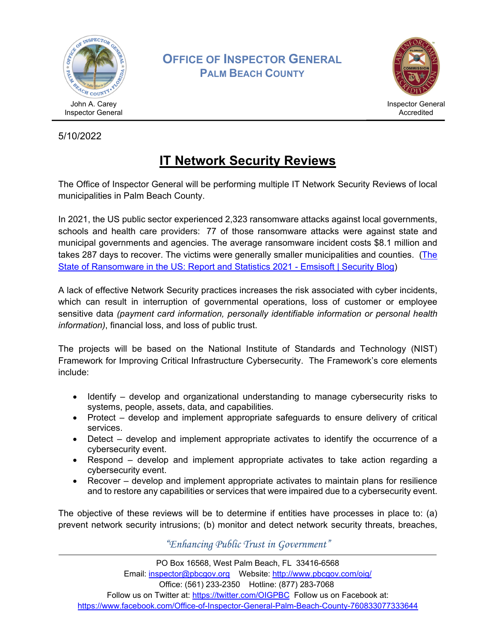

**OFFICE OF INSPECTOR GENERAL PALM BEACH COUNTY**



5/10/2022

## **IT Network Security Reviews**

The Office of Inspector General will be performing multiple IT Network Security Reviews of local municipalities in Palm Beach County.

In 2021, the US public sector experienced 2,323 ransomware attacks against local governments, schools and health care providers: 77 of those ransomware attacks were against state and municipal governments and agencies. The average ransomware incident costs \$8.1 million and takes 287 days to recover. The victims were generally smaller municipalities and counties. ([The](https://blog.emsisoft.com/en/40813/the-state-of-ransomware-in-the-us-report-and-statistics-2021/)  [State of Ransomware in the US: Report and Statistics 2021 - Emsisoft | Security Blog\)](https://blog.emsisoft.com/en/40813/the-state-of-ransomware-in-the-us-report-and-statistics-2021/)

A lack of effective Network Security practices increases the risk associated with cyber incidents, which can result in interruption of governmental operations, loss of customer or employee sensitive data *(payment card information, personally identifiable information or personal health information)*, financial loss, and loss of public trust.

The projects will be based on the National Institute of Standards and Technology (NIST) Framework for Improving Critical Infrastructure Cybersecurity. The Framework's core elements include:

- Identify develop and organizational understanding to manage cybersecurity risks to systems, people, assets, data, and capabilities.
- Protect develop and implement appropriate safeguards to ensure delivery of critical services.
- Detect develop and implement appropriate activates to identify the occurrence of a cybersecurity event.
- Respond develop and implement appropriate activates to take action regarding a cybersecurity event.
- Recover develop and implement appropriate activates to maintain plans for resilience and to restore any capabilities or services that were impaired due to a cybersecurity event.

The objective of these reviews will be to determine if entities have processes in place to: (a) prevent network security intrusions; (b) monitor and detect network security threats, breaches,

*"Enhancing Public Trust in Government"*